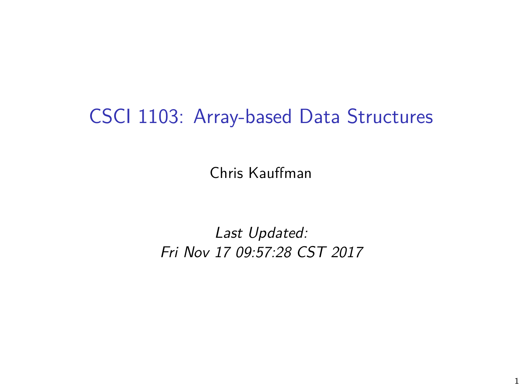### CSCI 1103: Array-based Data Structures

Chris Kauffman

Last Updated: Fri Nov 17 09:57:28 CST 2017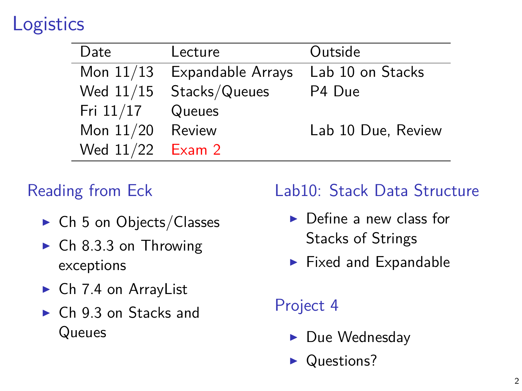# **Logistics**

| Date               | Lecture                  | Outside            |
|--------------------|--------------------------|--------------------|
| Mon $11/13$        | <b>Expandable Arrays</b> | Lab 10 on Stacks   |
| Wed $11/15$        | Stacks/Queues            | P4 Due             |
| Fri $11/17$        | Queues                   |                    |
| Mon $11/20$        | Review                   | Lab 10 Due, Review |
| Wed $11/22$ Exam 2 |                          |                    |

### Reading from Eck

- $\triangleright$  Ch 5 on Objects/Classes
- $\triangleright$  Ch 8.3.3 on Throwing exceptions
- $\triangleright$  Ch 7.4 on ArrayList
- $\triangleright$  Ch 9.3 on Stacks and **Queues**

#### Lab10: Stack Data Structure

- $\blacktriangleright$  Define a new class for Stacks of Strings
- $\blacktriangleright$  Fixed and Expandable

#### Project 4

- $\blacktriangleright$  Due Wednesday
- $\blacktriangleright$  Questions?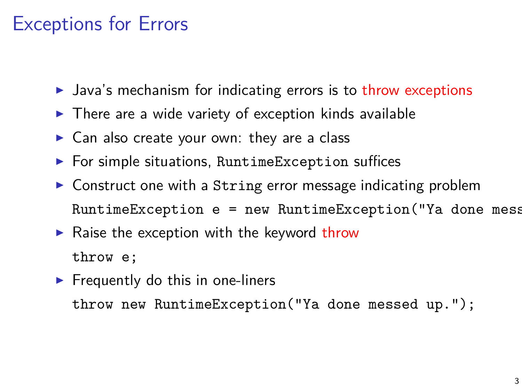### Exceptions for Errors

- $\blacktriangleright$  Java's mechanism for indicating errors is to throw exceptions
- $\triangleright$  There are a wide variety of exception kinds available
- $\triangleright$  Can also create your own: they are a class
- $\blacktriangleright$  For simple situations, RuntimeException suffices
- $\triangleright$  Construct one with a String error message indicating problem  $RuntimeException$  e = new  $RuntimeException("Ya done mess)$
- $\blacktriangleright$  Raise the exception with the keyword throw throw e;
- $\blacktriangleright$  Frequently do this in one-liners throw new RuntimeException("Ya done messed up.");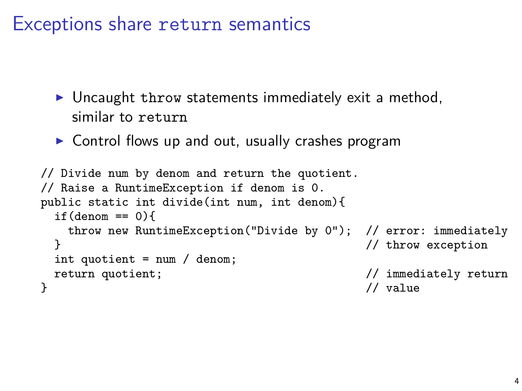### Exceptions share return semantics

- $\triangleright$  Uncaught throw statements immediately exit a method, similar to return
- $\triangleright$  Control flows up and out, usually crashes program

```
// Divide num by denom and return the quotient.
// Raise a RuntimeException if denom is 0.
public static int divide(int num, int denom){
 if(denom == 0)throw new RuntimeException("Divide by 0"); // error: immediately
 } // throw exception
 int quotient = num / denom;
 return quotient; \frac{1}{1} // immediately return<br>
\frac{1}{1} value
} // value
```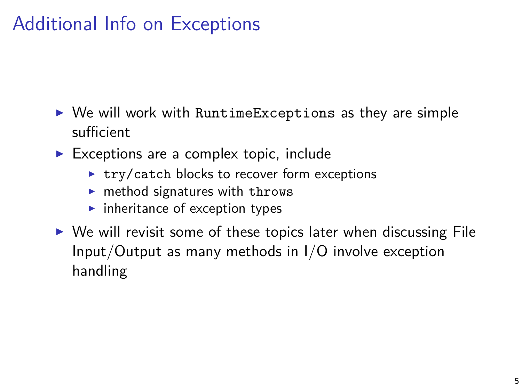# Additional Info on Exceptions

- $\triangleright$  We will work with RuntimeExceptions as they are simple sufficient
- $\blacktriangleright$  Exceptions are a complex topic, include
	- $\blacktriangleright$  try/catch blocks to recover form exceptions
	- $\blacktriangleright$  method signatures with throws
	- $\blacktriangleright$  inheritance of exception types
- $\triangleright$  We will revisit some of these topics later when discussing File Input/Output as many methods in I/O involve exception handling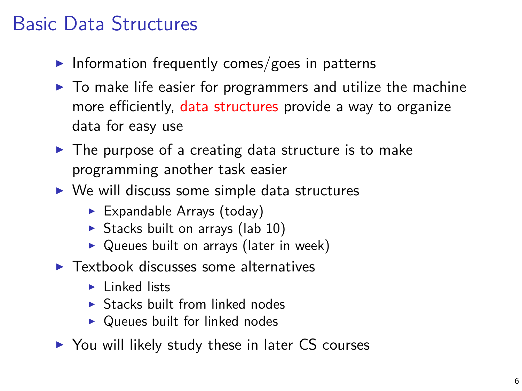# Basic Data Structures

- Information frequently comes/goes in patterns
- $\blacktriangleright$  To make life easier for programmers and utilize the machine more efficiently, data structures provide a way to organize data for easy use
- $\blacktriangleright$  The purpose of a creating data structure is to make programming another task easier
- $\triangleright$  We will discuss some simple data structures
	- $\blacktriangleright$  Expandable Arrays (today)
	- $\triangleright$  Stacks built on arrays (lab 10)
	- $\triangleright$  Queues built on arrays (later in week)
- $\blacktriangleright$  Textbook discusses some alternatives
	- $\blacktriangleright$  Linked lists
	- $\triangleright$  Stacks built from linked nodes
	- $\triangleright$  Queues built for linked nodes
- $\triangleright$  You will likely study these in later CS courses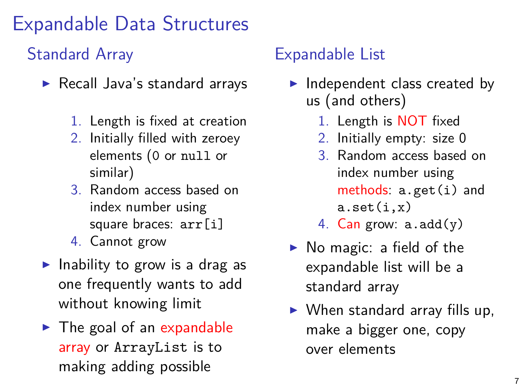# Expandable Data Structures

#### Standard Array

- $\blacktriangleright$  Recall Java's standard arrays
	- 1. Length is fixed at creation
	- 2. Initially filled with zeroey elements (0 or null or similar)
	- 3. Random access based on index number using square braces: arr[i]
	- 4. Cannot grow
- Inability to grow is a drag as one frequently wants to add without knowing limit
- $\blacktriangleright$  The goal of an expandable array or ArrayList is to making adding possible

#### Expandable List

- $\blacktriangleright$  Independent class created by us (and others)
	- 1. Length is NOT fixed
	- 2. Initially empty: size 0
	- 3. Random access based on index number using methods: a.get(i) and  $a.set(i,x)$
	- 4. Can grow:  $a.add(y)$
- $\triangleright$  No magic: a field of the expandable list will be a standard array
- $\triangleright$  When standard array fills up, make a bigger one, copy over elements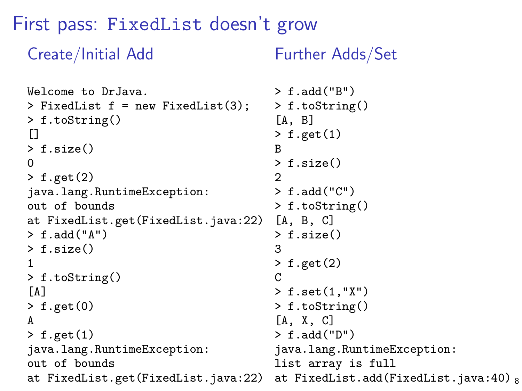#### First pass: FixedList doesn't grow

#### Create/Initial Add

Further Adds/Set

```
Welcome to DrJava.
> FixedList f = new FixedList(3);
> f.toString()
\Box> f.size()
\Omega> f.get(2)java.lang.RuntimeException:
out of bounds
at FixedList.get(FixedList.java:22)
> f.add("A")> f.size()
1
> f.toString()
[A]> f.get(0)
A
> f.get(1)java.lang.RuntimeException:
out of bounds
at FixedList.get(FixedList.java:22)
                                       > f.add("B")
                                       > f.toString()
                                       [A, B]
                                       > f.get(1)B
                                       > f.size()
                                       \mathcal{D}> f.add("C")> f.toString()
                                       [A, B, C]
                                       > f.size()
                                       3
                                       > f.get(2)
                                       \mathcal{C}> f.set(1,"X")
                                       > f.toString()
                                       [A, X, C]
                                       > f.add("D")
                                       java.lang.RuntimeException:
                                       list array is full
                                       at FixedList.add(FixedList.java:40) _8
```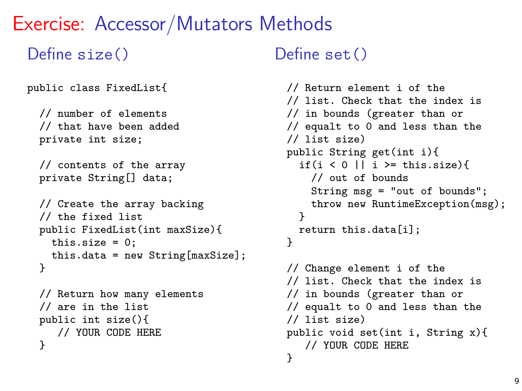### Exercise: Accessor/Mutators Methods

#### Define size()

```
public class FixedList{
```

```
// number of elements
// that have been added
private int size;
```

```
// contents of the array
private String[] data;
```

```
// Create the array backing
// the fixed list
public FixedList(int maxSize){
 this.size = 0:
 this.data = new String[maxSize];
}
```

```
// Return how many elements
// are in the list
public int size(){
   // YOUR CODE HERE
}
```
#### $Define set()$

```
// Return element i of the
// list. Check that the index is
// in bounds (greater than or
// equalt to 0 and less than the
// list size)
public String get(int i){
  if(i < 0 || i >= this.size){
    // out of bounds
    String msg = "out of bounds";
    throw new RuntimeException(msg);
  }
  return this.data[i];
}
// Change element i of the
// list. Check that the index is
// in bounds (greater than or
// equalt to 0 and less than the
// list size)
public void set(int i, String x){
   // YOUR CODE HERE
}
```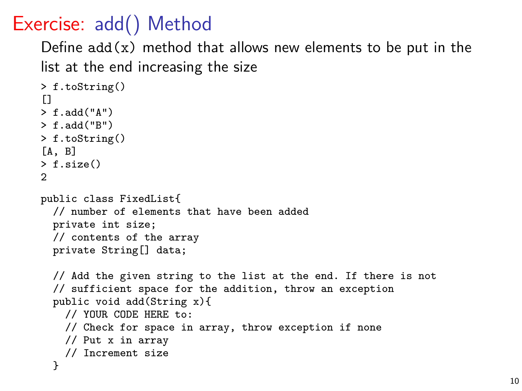Exercise: add() Method

Define  $add(x)$  method that allows new elements to be put in the list at the end increasing the size

```
> f.toString()
\Box> f.add("A")
> f.add("B")
> f.toString()
[A, B]
> f.size()
2
public class FixedList{
  // number of elements that have been added
  private int size;
  // contents of the array
  private String[] data;
  // Add the given string to the list at the end. If there is not
  // sufficient space for the addition, throw an exception
  public void add(String x){
    // YOUR CODE HERE to:
    // Check for space in array, throw exception if none
    // Put x in array
    // Increment size
  }
```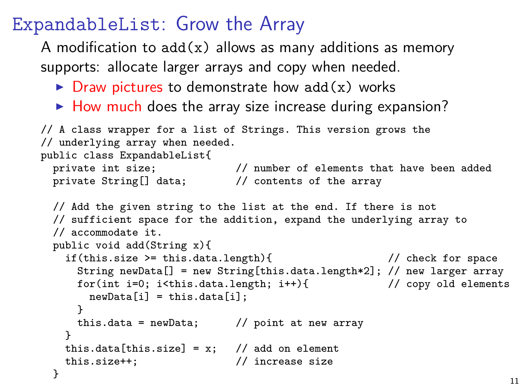ExpandableList: Grow the Array

A modification to  $add(x)$  allows as many additions as memory supports: allocate larger arrays and copy when needed.

- $\triangleright$  Draw pictures to demonstrate how add(x) works
- $\blacktriangleright$  How much does the array size increase during expansion?

```
// A class wrapper for a list of Strings. This version grows the
// underlying array when needed.
public class ExpandableList{<br>private int size;
                     // number of elements that have been added
  private String[] data; // contents of the array
  // Add the given string to the list at the end. If there is not
  // sufficient space for the addition, expand the underlying array to
  // accommodate it.
  public void add(String x){
    if(this.size >= this.data.length){ // check for space
      String newData[] = new String[this.data.length*2]; // new larger array<br>for(int i=0; i<this.data.length; i++){ // copy old elements
      for(int i=0; i<this.data.length; i++){
        newData[i] = this.data[i];}
      this.data = newData; // point at new array
    }
    this.data[this.size] = x; // add on element
    this.size++; // increase size
  }
```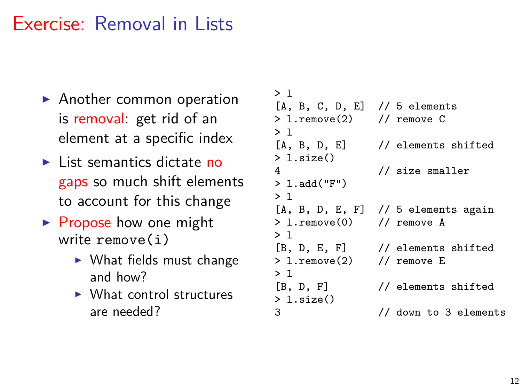### Exercise: Removal in Lists

- $\blacktriangleright$  Another common operation is removal: get rid of an element at a specific index
- $\blacktriangleright$  List semantics dictate no gaps so much shift elements to account for this change
- $\triangleright$  Propose how one might write remove(i)
	- $\triangleright$  What fields must change and how?
	- $\triangleright$  What control structures are needed?

```
> 1[A, B, C, D, E] // 5 elements<br>> 1.remove(2) // remove C
> 1.remove(2)> 1<br>[A. B. D. E]
                    // elements shifted
> l.size()
4 // size smaller
> l.add("F")
> l
[A, B, D, E, F] // 5 elements again<br>> 1.remove(0) // remove A
> 1.remove(0)> 1<br>[B. D. E. F]
                    // elements shifted
> l.remove(2) // remove E
> 1<br>[B. D. F]
                    // elements shifted
> 1.size()<br>3
                    3 // down to 3 elements
```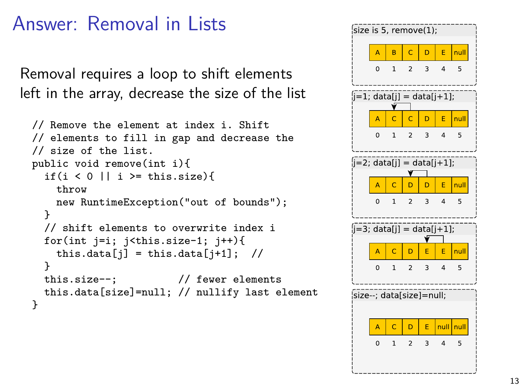### Answer: Removal in Lists

Removal requires a loop to shift elements left in the array, decrease the size of the list

```
// Remove the element at index i. Shift
// elements to fill in gap and decrease the
// size of the list.
public void remove(int i){
 if(i < 0 || i >= this.size){
   throw
   new RuntimeException("out of bounds");
  }
 // shift elements to overwrite index i
 for(int j=i; j < this.size-1; j + + ) {
   this.data[j] = this.data[j+1]; //
  }
 this.size--; // fewer elements
 this.data[size]=null; // nullify last element
}
```
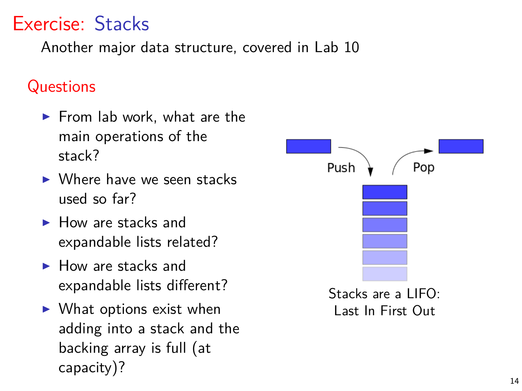# Exercise: Stacks

Another major data structure, covered in Lab 10

#### **Questions**

- $\blacktriangleright$  From lab work, what are the main operations of the stack?
- $\triangleright$  Where have we seen stacks used so far?
- $\blacktriangleright$  How are stacks and expandable lists related?
- $\blacktriangleright$  How are stacks and expandable lists different?
- $\triangleright$  What options exist when adding into a stack and the backing array is full (at capacity)?

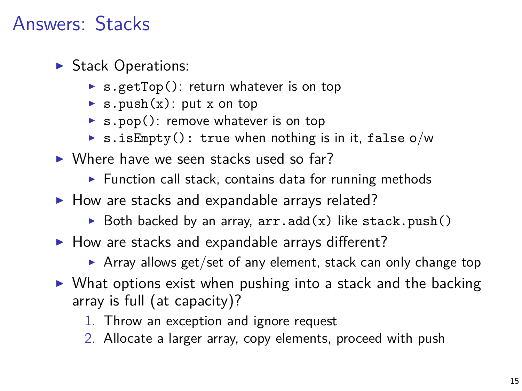## Answers: Stacks

- $\blacktriangleright$  Stack Operations:
	- $\triangleright$  s.getTop(): return whatever is on top
	- $\triangleright$  s.push(x): put x on top
	- $\triangleright$  s.pop(): remove whatever is on top
	- $\triangleright$  s.is Empty(): true when nothing is in it, false o/w
- $\triangleright$  Where have we seen stacks used so far?
	- $\triangleright$  Function call stack, contains data for running methods
- $\blacktriangleright$  How are stacks and expandable arrays related?
	- $\triangleright$  Both backed by an array,  $arr.add(x)$  like stack.push()
- $\blacktriangleright$  How are stacks and expandable arrays different?
	- Array allows get/set of any element, stack can only change top
- $\triangleright$  What options exist when pushing into a stack and the backing array is full (at capacity)?
	- 1. Throw an exception and ignore request
	- 2. Allocate a larger array, copy elements, proceed with push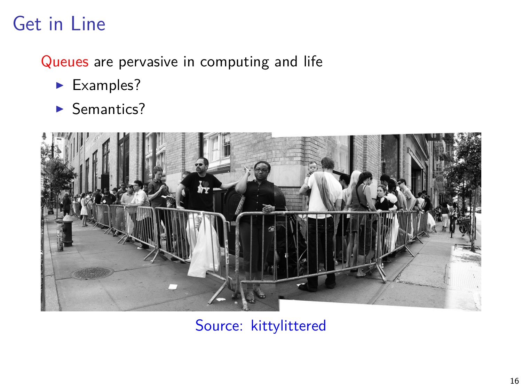# Get in Line

Queues are pervasive in computing and life

- $\blacktriangleright$  Examples?
- $\blacktriangleright$  Semantics?



[Source: kittylittered](http://www.flickr.com/photos/18376924@N00/2661951321/sizes/l/)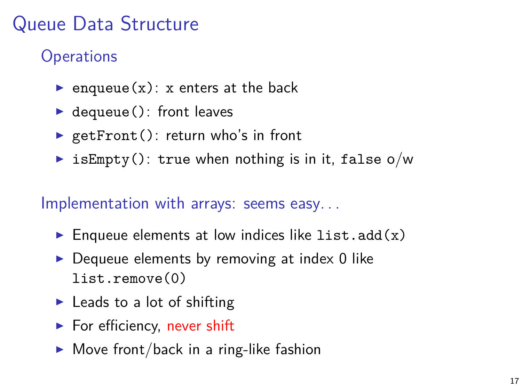# Queue Data Structure

### **Operations**

- enqueue $(x)$ : x enters at the back
- $\blacktriangleright$  dequeue(): front leaves
- $\blacktriangleright$  getFront(): return who's in front
- isEmpty(): true when nothing is in it, false  $o/w$

#### Implementation with arrays: seems easy. . .

- Enqueue elements at low indices like list.add $(x)$
- $\triangleright$  Dequeue elements by removing at index 0 like list.remove(0)
- $\blacktriangleright$  Leads to a lot of shifting
- $\blacktriangleright$  For efficiency, never shift
- $\blacktriangleright$  Move front/back in a ring-like fashion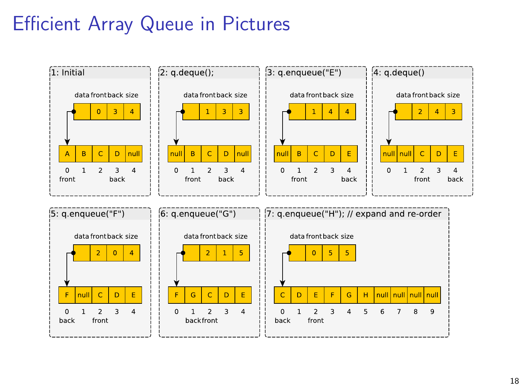# Efficient Array Queue in Pictures

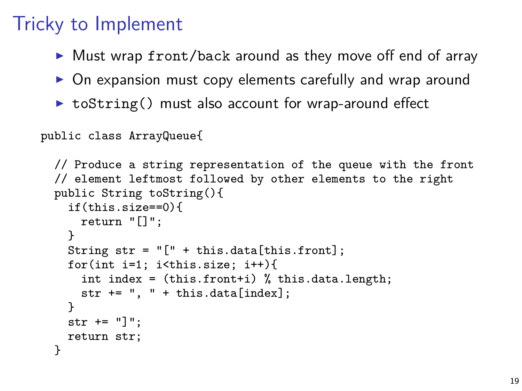### Tricky to Implement

- $\triangleright$  Must wrap front/back around as they move off end of array
- $\triangleright$  On expansion must copy elements carefully and wrap around
- $\triangleright$  toString() must also account for wrap-around effect

```
public class ArrayQueue{
```

```
// Produce a string representation of the queue with the front
// element leftmost followed by other elements to the right
public String toString(){
 if(this.size==0){
   return "[]";
 }
 String str = "[" + this.data[this.format];for(int i=1; i<this.size; i++){
    int index = (this.front + i) % this.data.length;
    str += ", " + this.data[index];
 }
 str += "]":
 return str;
}
```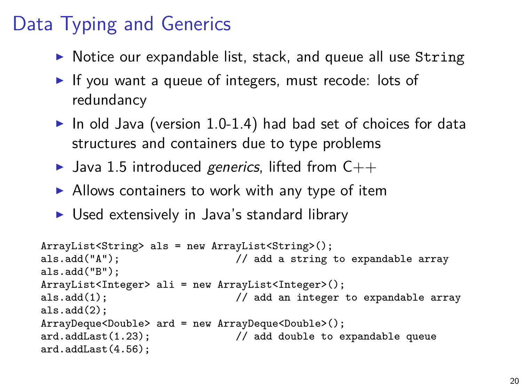# Data Typing and Generics

- $\triangleright$  Notice our expandable list, stack, and queue all use String
- $\blacktriangleright$  If vou want a queue of integers, must recode: lots of redundancy
- $\triangleright$  In old Java (version 1.0-1.4) had bad set of choices for data structures and containers due to type problems
- In Java 1.5 introduced generics, lifted from  $C++$
- $\triangleright$  Allows containers to work with any type of item
- $\triangleright$  Used extensively in Java's standard library

```
ArrayList<String> als = new ArrayList<String>();
als.add("A"); // add a string to expandable array
als.add("B");
ArrayList<Integer> ali = new ArrayList<Integer>();
                              // add an integer to expandable array
als.add(2):
ArrayDeque<Double> ard = new ArrayDeque<Double>();
                              // add double to expandable queue
ard.addLast(4.56);
```